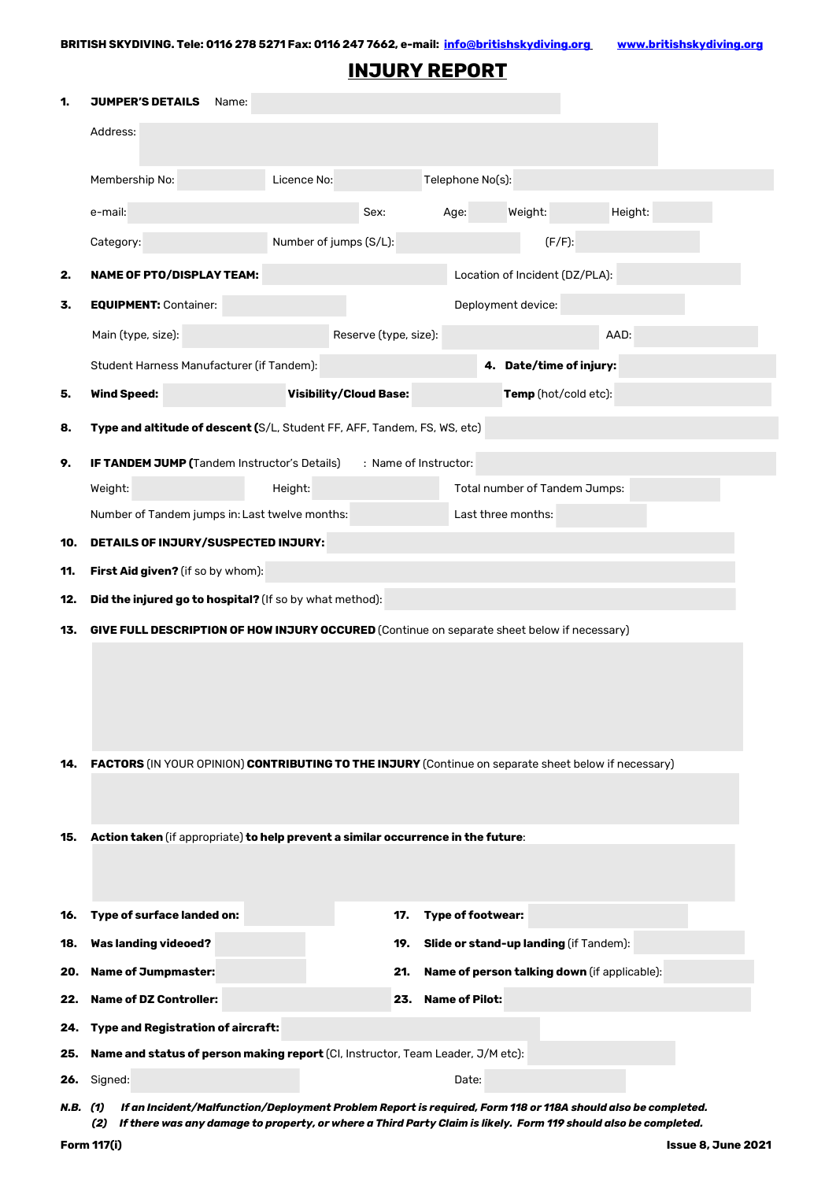## **INJURY REPORT**

| 1.         | <b>JUMPER'S DETAILS</b><br>Name:                                                                                                    |                                                |                         |                                              |         |  |
|------------|-------------------------------------------------------------------------------------------------------------------------------------|------------------------------------------------|-------------------------|----------------------------------------------|---------|--|
|            | Address:                                                                                                                            |                                                |                         |                                              |         |  |
|            | Membership No:                                                                                                                      | Licence No:                                    |                         | Telephone No(s):                             |         |  |
|            | e-mail:                                                                                                                             | Sex:                                           | Age:                    | Weight:                                      | Height: |  |
|            | Category:                                                                                                                           | Number of jumps (S/L):                         |                         | $(F/F)$ :                                    |         |  |
| 2.         | <b>NAME OF PTO/DISPLAY TEAM:</b>                                                                                                    |                                                |                         | Location of Incident (DZ/PLA):               |         |  |
| 3.         | <b>EQUIPMENT: Container:</b>                                                                                                        |                                                |                         | Deployment device:                           |         |  |
|            | Main (type, size):                                                                                                                  | Reserve (type, size):                          |                         |                                              | AAD:    |  |
|            | Student Harness Manufacturer (if Tandem):                                                                                           |                                                | 4. Date/time of injury: |                                              |         |  |
| 5.         | <b>Wind Speed:</b>                                                                                                                  | <b>Visibility/Cloud Base:</b>                  |                         | Temp (hot/cold etc):                         |         |  |
| 8.         | Type and altitude of descent (S/L, Student FF, AFF, Tandem, FS, WS, etc)                                                            |                                                |                         |                                              |         |  |
| 9.         | IF TANDEM JUMP (Tandem Instructor's Details)<br>: Name of Instructor:                                                               |                                                |                         |                                              |         |  |
|            | Weight:                                                                                                                             | Height:                                        |                         | Total number of Tandem Jumps:                |         |  |
|            |                                                                                                                                     | Number of Tandem jumps in: Last twelve months: |                         | Last three months:                           |         |  |
| 10.        | DETAILS OF INJURY/SUSPECTED INJURY:                                                                                                 |                                                |                         |                                              |         |  |
| 11.        | First Aid given? (if so by whom):                                                                                                   |                                                |                         |                                              |         |  |
| 12.        | Did the injured go to hospital? (If so by what method):                                                                             |                                                |                         |                                              |         |  |
| 13.        | GIVE FULL DESCRIPTION OF HOW INJURY OCCURED (Continue on separate sheet below if necessary)                                         |                                                |                         |                                              |         |  |
|            |                                                                                                                                     |                                                |                         |                                              |         |  |
|            |                                                                                                                                     |                                                |                         |                                              |         |  |
|            |                                                                                                                                     |                                                |                         |                                              |         |  |
|            |                                                                                                                                     |                                                |                         |                                              |         |  |
| 14.        | FACTORS (IN YOUR OPINION) CONTRIBUTING TO THE INJURY (Continue on separate sheet below if necessary)                                |                                                |                         |                                              |         |  |
|            |                                                                                                                                     |                                                |                         |                                              |         |  |
| 15.        | Action taken (if appropriate) to help prevent a similar occurrence in the future:                                                   |                                                |                         |                                              |         |  |
|            |                                                                                                                                     |                                                |                         |                                              |         |  |
|            |                                                                                                                                     |                                                |                         |                                              |         |  |
| 16.        | Type of surface landed on:                                                                                                          | 17.                                            | Type of footwear:       |                                              |         |  |
| 18.        | <b>Was landing videoed?</b>                                                                                                         | 19.                                            |                         | Slide or stand-up landing (if Tandem):       |         |  |
| 20.        | <b>Name of Jumpmaster:</b>                                                                                                          | 21.                                            |                         | Name of person talking down (if applicable): |         |  |
| 22.        | <b>Name of DZ Controller:</b>                                                                                                       | 23.                                            | <b>Name of Pilot:</b>   |                                              |         |  |
| 24.<br>25. | <b>Type and Registration of aircraft:</b><br><b>Name and status of person making report (CI, Instructor, Team Leader, J/M etc):</b> |                                                |                         |                                              |         |  |
| 26.        | Date:<br>Signed:                                                                                                                    |                                                |                         |                                              |         |  |
| N.B. (1)   | If an Incident/Malfunction/Deployment Problem Report is required, Form 118 or 118A should also be completed.                        |                                                |                         |                                              |         |  |
|            | If there was any damage to property, or where a Third Party Claim is likely. Form 119 should also be completed.<br>(2)              |                                                |                         |                                              |         |  |